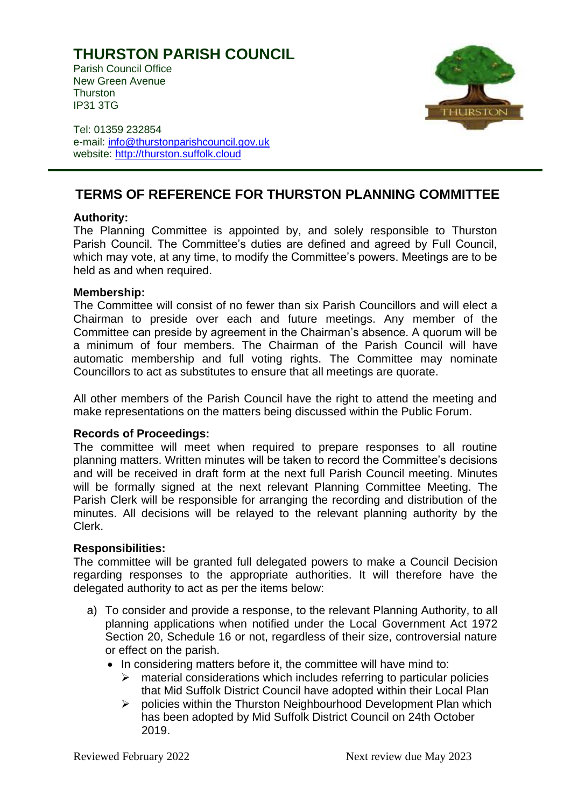# **THURSTON PARISH COUNCIL**

Parish Council Office New Green Avenue **Thurston** IP31 3TG



Tel: 01359 232854 e-mail: [info@thurstonparishcouncil.gov.uk](mailto:info@thurstonparishcouncil.gov.uk) website: [http://thurston.suffolk.cloud](http://thurston.suffolk.cloud/)

## **TERMS OF REFERENCE FOR THURSTON PLANNING COMMITTEE**

### **Authority:**

The Planning Committee is appointed by, and solely responsible to Thurston Parish Council. The Committee's duties are defined and agreed by Full Council, which may vote, at any time, to modify the Committee's powers. Meetings are to be held as and when required.

### **Membership:**

The Committee will consist of no fewer than six Parish Councillors and will elect a Chairman to preside over each and future meetings. Any member of the Committee can preside by agreement in the Chairman's absence. A quorum will be a minimum of four members. The Chairman of the Parish Council will have automatic membership and full voting rights. The Committee may nominate Councillors to act as substitutes to ensure that all meetings are quorate.

All other members of the Parish Council have the right to attend the meeting and make representations on the matters being discussed within the Public Forum.

### **Records of Proceedings:**

The committee will meet when required to prepare responses to all routine planning matters. Written minutes will be taken to record the Committee's decisions and will be received in draft form at the next full Parish Council meeting. Minutes will be formally signed at the next relevant Planning Committee Meeting. The Parish Clerk will be responsible for arranging the recording and distribution of the minutes. All decisions will be relayed to the relevant planning authority by the Clerk.

#### **Responsibilities:**

The committee will be granted full delegated powers to make a Council Decision regarding responses to the appropriate authorities. It will therefore have the delegated authority to act as per the items below:

- a) To consider and provide a response, to the relevant Planning Authority, to all planning applications when notified under the Local Government Act 1972 Section 20, Schedule 16 or not, regardless of their size, controversial nature or effect on the parish.
	- In considering matters before it, the committee will have mind to:
		- $\triangleright$  material considerations which includes referring to particular policies that Mid Suffolk District Council have adopted within their Local Plan
		- ➢ policies within the Thurston Neighbourhood Development Plan which has been adopted by Mid Suffolk District Council on 24th October 2019.